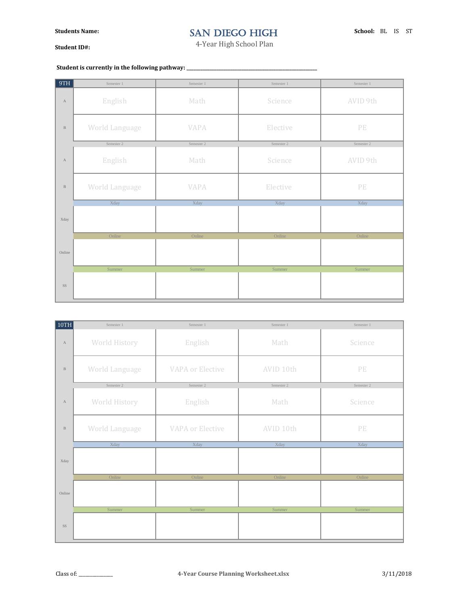## SAN DIEGO HIGH

**Student ID#:**

4-Year High School Plan

## Student is currently in the following pathway: \_\_\_\_\_\_\_\_\_\_\_\_\_\_\_\_\_\_\_\_\_\_\_\_\_\_\_\_\_\_\_\_\_\_

| 9TH          | Semester 1            | Semester 1  | Semester 1 | Semester 1                            |
|--------------|-----------------------|-------------|------------|---------------------------------------|
| $\mathbf{A}$ | English               | Math        | Science    | AVID 9th                              |
| $\, {\bf B}$ | World Language        | <b>VAPA</b> | Elective   | $\ensuremath{\mathop{\text{\rm PE}}}$ |
|              | Semester 2            | Semester 2  | Semester 2 | Semester 2                            |
| $\mathbf{A}$ | English               | Math        | Science    | AVID 9th                              |
| $\, {\bf B}$ | <b>World Language</b> | <b>VAPA</b> | Elective   | $\ensuremath{\mathop{\text{\rm PE}}}$ |
|              | Xday                  | Xday        | Xday       | Xday                                  |
| Xday         |                       |             |            |                                       |
|              | Online                | Online      | Online     | Online                                |
| Online       |                       |             |            |                                       |
|              | Summer                | Summer      | Summer     | Summer                                |
| SS           |                       |             |            |                                       |

| 10TH         | Semester 1     | Semester 1              | Semester 1 | Semester 1                            |
|--------------|----------------|-------------------------|------------|---------------------------------------|
| $\mathbf{A}$ | World History  | English                 | Math       | Science                               |
| $\, {\bf B}$ | World Language | <b>VAPA or Elective</b> | AVID 10th  | $\ensuremath{\mathop{\text{\rm PE}}}$ |
|              | Semester 2     | Semester 2              | Semester 2 | Semester 2                            |
| $\mathbf{A}$ | World History  | English                 | Math       | Science                               |
| $\, {\bf B}$ | World Language | <b>VAPA or Elective</b> | AVID 10th  | PE                                    |
|              | Xday           | Xday                    | Xday       | Xday                                  |
| Xday         |                |                         |            |                                       |
|              | Online         | Online                  | Online     | Online                                |
| Online       |                |                         |            |                                       |
|              | Summer         | Summer                  | Summer     | Summer                                |
| SS           |                |                         |            |                                       |